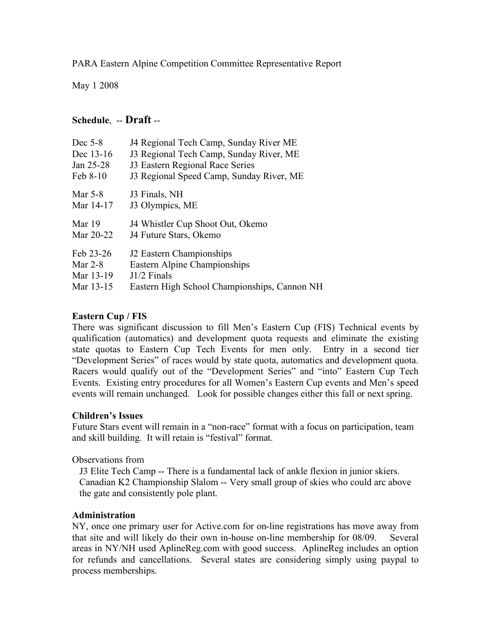PARA Eastern Alpine Competition Committee Representative Report

May 1 2008

# **Schedule**, -- **Draft** --

| Dec $5-8$ | J4 Regional Tech Camp, Sunday River ME       |
|-----------|----------------------------------------------|
| Dec 13-16 | J3 Regional Tech Camp, Sunday River, ME      |
| Jan 25-28 | J3 Eastern Regional Race Series              |
| Feb 8-10  | J3 Regional Speed Camp, Sunday River, ME     |
| Mar 5-8   | J3 Finals, NH                                |
| Mar 14-17 | J3 Olympics, ME                              |
| Mar 19    | J4 Whistler Cup Shoot Out, Okemo             |
| Mar 20-22 | J4 Future Stars, Okemo                       |
| Feb 23-26 | J2 Eastern Championships                     |
| Mar $2-8$ | Eastern Alpine Championships                 |
| Mar 13-19 | $J1/2$ Finals                                |
| Mar 13-15 | Eastern High School Championships, Cannon NH |

# **Eastern Cup / FIS**

There was significant discussion to fill Men's Eastern Cup (FIS) Technical events by qualification (automatics) and development quota requests and eliminate the existing state quotas to Eastern Cup Tech Events for men only. Entry in a second tier "Development Series" of races would by state quota, automatics and development quota. Racers would qualify out of the "Development Series" and "into" Eastern Cup Tech Events. Existing entry procedures for all Women's Eastern Cup events and Men's speed events will remain unchanged. Look for possible changes either this fall or next spring.

### **Children's Issues**

Future Stars event will remain in a "non-race" format with a focus on participation, team and skill building. It will retain is "festival" format.

Observations from

J3 Elite Tech Camp -- There is a fundamental lack of ankle flexion in junior skiers. Canadian K2 Championship Slalom -- Very small group of skies who could arc above the gate and consistently pole plant.

### **Administration**

NY, once one primary user for Active.com for on-line registrations has move away from that site and will likely do their own in-house on-line membership for 08/09. Several areas in NY/NH used AplineReg.com with good success. AplineReg includes an option for refunds and cancellations. Several states are considering simply using paypal to process memberships.